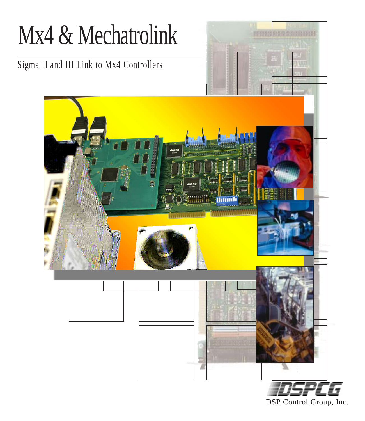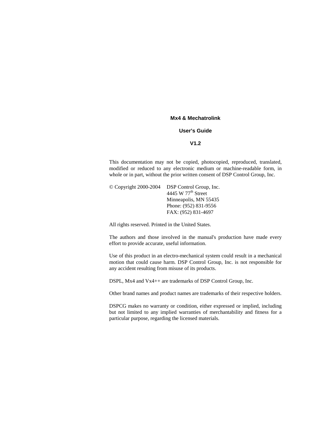#### **Mx4 & Mechatrolink**

#### **User's Guide**

#### **V1.2**

This documentation may not be copied, photocopied, reproduced, translated, modified or reduced to any electronic medium or machine-readable form, in whole or in part, without the prior written consent of DSP Control Group, Inc.

© Copyright 2000-2004 DSP Control Group, Inc. 4445 W 77<sup>th</sup> Street Minneapolis, MN 55435 Phone: (952) 831-9556 FAX: (952) 831-4697

All rights reserved. Printed in the United States.

The authors and those involved in the manual's production have made every effort to provide accurate, useful information.

Use of this product in an electro-mechanical system could result in a mechanical motion that could cause harm. DSP Control Group, Inc. is not responsible for any accident resulting from misuse of its products.

DSPL, Mx4 and Vx4++ are trademarks of DSP Control Group, Inc.

Other brand names and product names are trademarks of their respective holders.

DSPCG makes no warranty or condition, either expressed or implied, including but not limited to any implied warranties of merchantability and fitness for a particular purpose, regarding the licensed materials.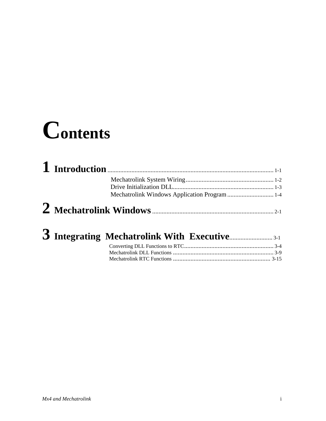# **Contents**

| Mechatrolink Windows Application Program  1-4 |  |
|-----------------------------------------------|--|
|                                               |  |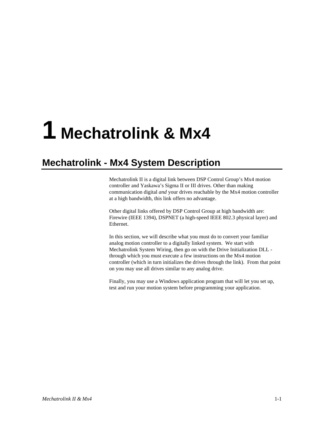# <span id="page-3-0"></span>**1 Mechatrolink & Mx4**

## **Mechatrolink - Mx4 System Description**

Mechatrolink II is a digital link between DSP Control Group's Mx4 motion controller and Yaskawa's Sigma II or III drives. Other than making communication digital *and* your drives reachable by the Mx4 motion controller at a high bandwidth, this link offers no advantage.

Other digital links offered by DSP Control Group at high bandwidth are: Firewire (IEEE 1394), DSPNET (a high-speed IEEE 802.3 physical layer) and Ethernet.

In this section, we will describe what you must do to convert your familiar analog motion controller to a digitally linked system. We start with Mechatrolink System Wiring, then go on with the Drive Initialization DLL through which you must execute a few instructions on the Mx4 motion controller (which in turn initializes the drives through the link). From that point on you may use all drives similar to any analog drive.

Finally, you may use a Windows application program that will let you set up, test and run your motion system before programming your application.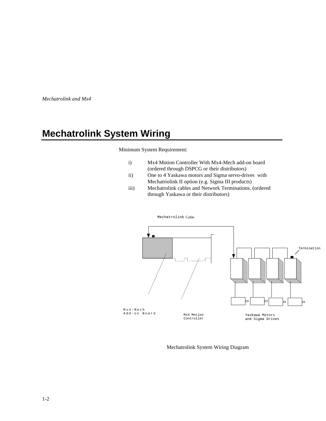<span id="page-4-0"></span>*Mechatrolink and Mx4*

## **Mechatrolink System Wiring**

#### Minimum System Requirement:

- i) Mx4 Motion Controller With Mx4-Mech add-on board (ordered through DSPCG or their distributors)
- ii) One to 4 Yaskawa motors and Sigma servo-drives with Mechatriolink II option (e.g. Sigma III products)
- iii) Mechatrolink cables and Network Terminations. (ordered through Yaskawa or their distributors)



Mechatrolink Cable

Mechatrolink System Wiring Diagram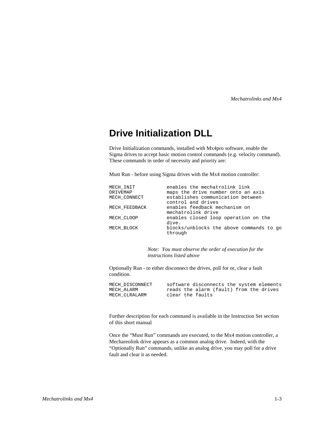*Mechatrolinks and Mx4*

## <span id="page-5-0"></span>**Drive Initialization DLL**

Drive Initialization commands, installed with Mx4pro software, enable the Sigma drives to accept basic motion control commands (e.g. velocity command). These commands in order of necessity and priority are:

Must Run - before using Sigma drives with the Mx4 motion controller:

| MECH INIT     | enables the mechatrolink link            |
|---------------|------------------------------------------|
| DRIVEMAP      | maps the drive number onto an axis       |
| MECH CONNECT  | establishes communication between        |
|               | control and drives                       |
| MECH FEEDBACK | enables feedback mechanism on            |
|               | mechatrolink drive                       |
| MECH CLOOP    | enables closed loop operation on the     |
|               | dive.                                    |
| MECH BLOCK    | blocks/unblocks the above commands to go |
|               | through                                  |

*Note: You must observe the order of execution for the instructions listed above*

Optionally Run - to either disconnect the drives, poll for or, clear a fault condition.

MECH\_DISCONNECT software disconnects the system elements<br>MECH\_ALARM reads the alarm (fault) from the drives MECH\_ALARM reads the alarm (fault) from the drives<br>MECH\_CLRALARM clear the faults clear the faults

Further description for each command is available in the Instruction Set section of this short manual

Once the "Must Run" commands are executed, to the Mx4 motion controller, a Mechareolink drive appears as a common analog drive. Indeed, with the "Optionally Run" commands, unlike an analog drive, you may poll for a drive fault and clear it as needed.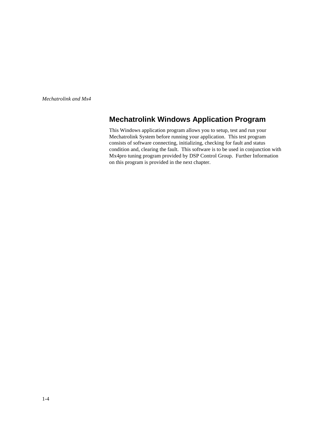<span id="page-6-0"></span>*Mechatrolink and Mx4*

## **Mechatrolink Windows Application Program**

This Windows application program allows you to setup, test and run your Mechatrolink System before running your application. This test program consists of software connecting, initializing, checking for fault and status condition and, clearing the fault. This software is to be used in conjunction with Mx4pro tuning program provided by DSP Control Group. Further Information on this program is provided in the next chapter.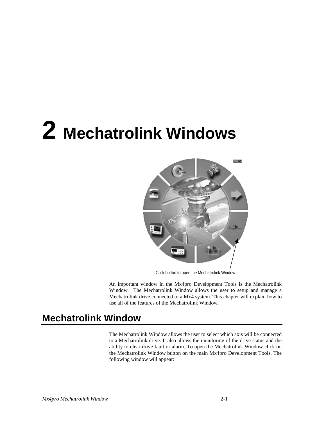# <span id="page-7-0"></span>**2 Mechatrolink Windows**



Click button to open the Mechatrolink Window

An important window in the Mx4pro Development Tools is the Mechatrolink Window. The Mechatrolink Window allows the user to setup and manage a Mechatrolink drive connected to a Mx4 system. This chapter will explain how to use all of the features of the Mechatrolink Window.

## **Mechatrolink Window**

The Mechatrolink Window allows the user to select which axis will be connected to a Mechatrolink drive. It also allows the monitoring of the drive status and the ability to clear drive fault or alarm. To open the Mechatrolink Window click on the Mechatrolink Window button on the main Mx4pro Development Tools. The following window will appear: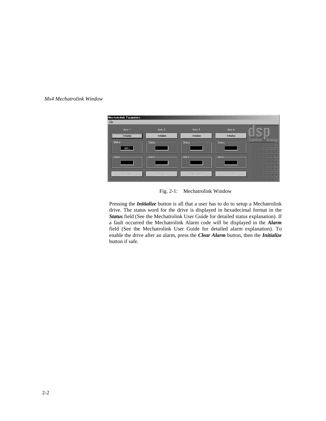#### *Mx4 Mechatrolink Window*



Fig. 2-1: Mechatrolink Window

Pressing the *Initialize* button is all that a user has to do to setup a Mechatrolink drive. The status word for the drive is displayed in hexadecimal format in the *Status* field (See the Mechatrolink User Guide for detailed status explanation). If a fault occurred the Mechatrolink Alarm code will be displayed in the *Alarm* field (See the Mechatrolink User Guide for detailed alarm explanation). To enable the drive after an alarm, press the *Clear Alarm* button, then the *Initialize* button if safe.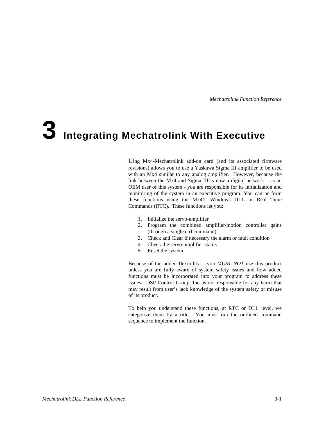# **3 Integrating Mechatrolink With Executive**

Uing Mx4-Mechatrolink add-on card (and its associated firmware revisions) allows you to use a Yaskawa Sigma III amplifier to be used with an Mx4 similar to any analog amplifier. However, because the link between the Mx4 and Sigma III is now a digital network – as an OEM user of this system - you are responsible for its initialization and monitoring of the system in an executive program. You can perform these functions using the Mx4's Windows DLL or Real Time Commands (RTC). These functions let you:

- 1. Initialize the servo-amplifier
- 2. Program the combined amplifier/motion controller gains (through a single ctrl command)
- 3. Check and Clear if necessary the alarm or fault condition
- 4. Check the servo-amplifier status
- 5. Reset the system

Because of the added flexibility – you *MUST NOT* use this product unless you are fully aware of system safety issues and how added functions must be incorporated into your program to address these issues. DSP Control Group, Inc. is not responsible for any harm that may result from user's lack knowledge of the system safety or misuse of its product.

To help you understand these functions, at RTC or DLL level, we categorize them by a title. You must run the outlined command sequence to implement the function.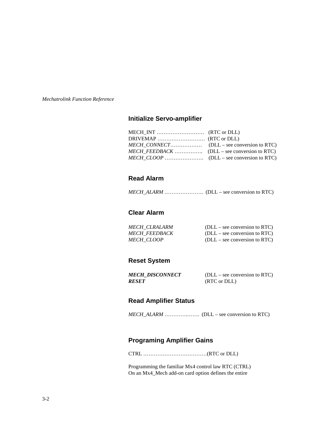### **Initialize Servo-amplifier**

#### **Read Alarm**

*MECH\_ALARM* …………………. (DLL – see conversion to RTC)

#### **Clear Alarm**

| <i>MECH CLRALARM</i> | $(DLL - see conversion to RTC)$ |
|----------------------|---------------------------------|
| <b>MECH FEEDBACK</b> | $(DLL - see conversion to RTC)$ |
| <i>MECH CLOOP</i>    | $(DLL - see conversion to RTC)$ |

#### **Reset System**

| MECH DISCONNECT | $(DLL - see conversion to RTC)$ |
|-----------------|---------------------------------|
| RESET           | (RTC or DLL)                    |

#### **Read Amplifier Status**

*MECH\_ALARM* ………….……. (DLL – see conversion to RTC)

### **Programing Amplifier Gains**

CTRL ………………………………(RTC or DLL)

Programming the familiar Mx4 control law RTC (CTRL) On an Mx4\_Mech add-on card option defines the entire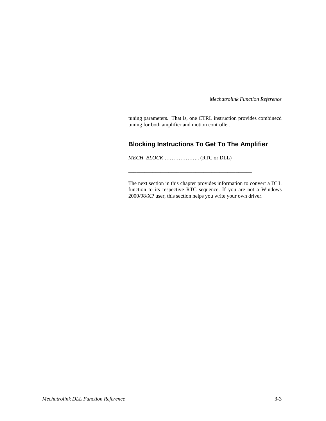tuning parameters. That is, one CTRL instruction provides combinecd tuning for both amplifier and motion controller.

## **Blocking Instructions To Get To The Amplifier**

*MECH\_BLOCK* ……………….. (RTC or DLL)

\_\_\_\_\_\_\_\_\_\_\_\_\_\_\_\_\_\_\_\_\_\_\_\_\_\_\_\_\_\_\_\_\_\_\_\_\_\_\_\_\_\_\_\_\_\_

The next section in this chapter provides information to convert a DLL function to its respective RTC sequence. If you are not a Windows 2000/98/XP user, this section helps you write your own driver.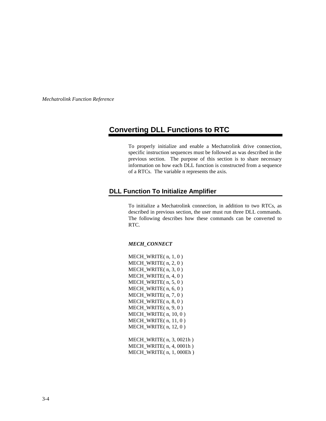## **Converting DLL Functions to RTC**

To properly initialize and enable a Mechatrolink drive connection, specific instruction sequences must be followed as was described in the previous section. The purpose of this section is to share necessary information on how each DLL function is constructed from a sequence of a RTCs. The variable n represents the axis.

#### **DLL Function To Initialize Amplifier**

To initialize a Mechatrolink connection, in addition to two RTCs, as described in previous section, the user must run three DLL commands. The following describes how these commands can be converted to RTC.

#### *MECH\_CONNECT*

MECH\_WRITE( n, 1, 0 ) MECH\_WRITE( n, 2, 0 ) MECH\_WRITE( n, 3, 0 ) MECH\_WRITE( $n, 4, 0$ ) MECH\_WRITE( n, 5, 0 ) MECH\_WRITE( n, 6, 0 ) MECH\_WRITE( n, 7, 0 ) MECH\_WRITE( n, 8, 0 ) MECH\_WRITE( $n, 9, 0$ ) MECH\_WRITE( n, 10, 0 ) MECH\_WRITE( n, 11, 0 ) MECH\_WRITE( n, 12, 0 )

MECH\_WRITE( n, 3, 0021h ) MECH\_WRITE( n, 4, 0001h ) MECH\_WRITE( n, 1, 000Eh )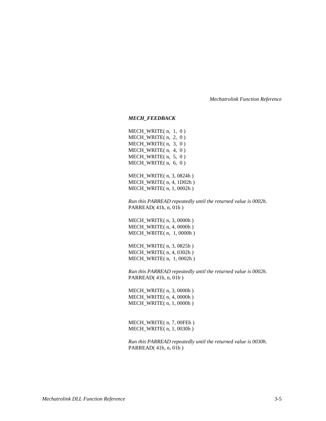#### *MECH\_FEEDBACK*

MECH\_WRITE( n, 1, 0 ) MECH\_WRITE( n, 2, 0 ) MECH\_WRITE( n, 3, 0 ) MECH\_WRITE( n, 4, 0 ) MECH\_WRITE( n, 5, 0 ) MECH\_WRITE( n, 6, 0 )

MECH\_WRITE( n, 3, 0824h ) MECH\_WRITE( n, 4, 1D02h) MECH\_WRITE( n, 1, 0002h )

*Run this PARREAD repeatedly until the returned value is 0002h.* PARREAD( 41h, n, 01h )

MECH\_WRITE( n, 3, 0000h ) MECH\_WRITE( n, 4, 0000h ) MECH\_WRITE( n, 1, 0000h )

MECH\_WRITE( n, 3, 0825h ) MECH\_WRITE( n, 4, 0302h ) MECH\_WRITE( n, 1, 0002h )

*Run this PARREAD repeatedly until the returned value is 0002h.* PARREAD( 41h, n, 01h )

MECH\_WRITE( n, 3, 0000h ) MECH\_WRITE( n, 4, 0000h ) MECH\_WRITE( n, 1, 0000h )

MECH\_WRITE( n, 7, 00FEh ) MECH\_WRITE( n, 1, 0030h )

*Run this PARREAD repeatedly until the returned value is 0030h.* PARREAD( 41h, n, 01h )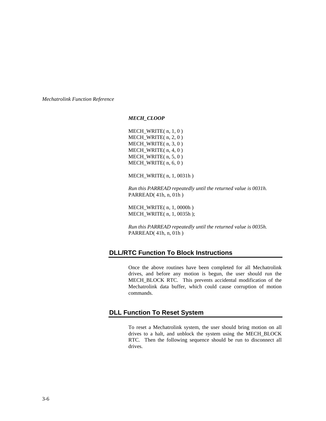*MECH\_CLOOP*

MECH\_WRITE( n, 1, 0 ) MECH\_WRITE( n, 2, 0 ) MECH\_WRITE( n, 3, 0 ) MECH\_WRITE( n, 4, 0) MECH\_WRITE( n, 5, 0 ) MECH\_WRITE( n, 6, 0 )

MECH\_WRITE( n, 1, 0031h )

*Run this PARREAD repeatedly until the returned value is 0031h.* PARREAD( 41h, n, 01h )

MECH\_WRITE( n, 1, 0000h ) MECH\_WRITE( n, 1, 0035h );

*Run this PARREAD repeatedly until the returned value is 0035h.* PARREAD( 41h, n, 01h )

#### **DLL/RTC Function To Block Instructions**

Once the above routines have been completed for all Mechatrolink drives, and before any motion is begun, the user should run the MECH\_BLOCK RTC. This prevents accidental modification of the Mechatrolink data buffer, which could cause corruption of motion commands.

#### **DLL Function To Reset System**

To reset a Mechatrolink system, the user should bring motion on all drives to a halt, and unblock the system using the MECH\_BLOCK RTC. Then the following sequence should be run to disconnect all drives.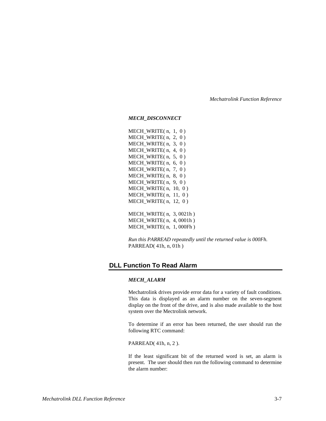*MECH\_DISCONNECT*

MECH\_WRITE( n, 1, 0 ) MECH\_WRITE( n, 2, 0 ) MECH\_WRITE( n, 3, 0 ) MECH WRITE $(n, 4, 0)$ MECH\_WRITE( n, 5, 0 ) MECH\_WRITE( n, 6, 0 ) MECH\_WRITE( n, 7, 0 ) MECH\_WRITE( n, 8, 0 ) MECH\_WRITE( n, 9, 0) MECH\_WRITE( n, 10, 0 ) MECH WRITE $(n, 11, 0)$ MECH\_WRITE( n, 12, 0 )

MECH\_WRITE( n, 3, 0021h ) MECH\_WRITE( n, 4, 0001h ) MECH\_WRITE( n, 1, 000Fh )

*Run this PARREAD repeatedly until the returned value is 000Fh.* PARREAD( 41h, n, 01h )

#### **DLL Function To Read Alarm**

#### *MECH\_ALARM*

Mechatrolink drives provide error data for a variety of fault conditions. This data is displayed as an alarm number on the seven-segment display on the front of the drive, and is also made available to the host system over the Mectrolink network.

To determine if an error has been returned, the user should run the following RTC command:

#### PARREAD( 41h, n, 2 ).

If the least significant bit of the returned word is set, an alarm is present. The user should then run the following command to determine the alarm number: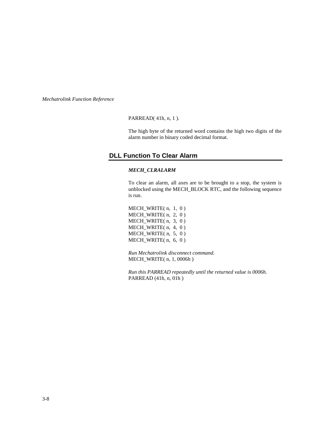PARREAD( 41h, n, 1 ).

The high byte of the returned word contains the high two digits of the alarm number in binary coded decimal format.

#### **DLL Function To Clear Alarm**

#### *MECH\_CLRALARM*

To clear an alarm, all axes are to be brought to a stop, the system is unblocked using the MECH\_BLOCK RTC, and the following sequence is run.

MECH\_WRITE( n, 1, 0 ) MECH\_WRITE( n, 2, 0 ) MECH\_WRITE( n, 3, 0 ) MECH\_WRITE( n, 4, 0 ) MECH\_WRITE( n, 5, 0 ) MECH\_WRITE( n, 6, 0 )

*Run Mechatrolink disconnect command.* MECH\_WRITE( n, 1, 0006h )

*Run this PARREAD repeatedly until the returned value is 0006h.* PARREAD (41h, n, 01h )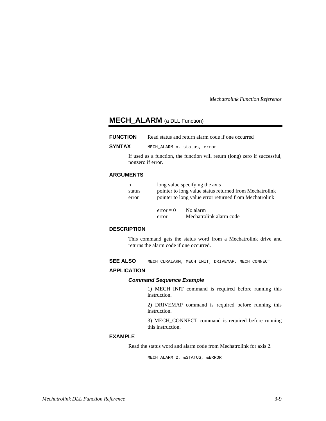### **MECH\_ALARM** (a DLL Function)

| <b>FUNCTION</b> | Read status and return alarm code if one occurred |  |  |
|-----------------|---------------------------------------------------|--|--|
|                 |                                                   |  |  |

**SYNTAX** MECH\_ALARM n, status, error

If used as a function, the function will return (long) zero if successful, nonzero if error.

#### **ARGUMENTS**

| n      |                                                        | long value specifying the axis                          |  |
|--------|--------------------------------------------------------|---------------------------------------------------------|--|
| status |                                                        | pointer to long value status returned from Mechatrolink |  |
| error  | pointer to long value error returned from Mechatrolink |                                                         |  |
|        | $error = 0$                                            | No alarm                                                |  |
|        | error                                                  | Mechatrolink alarm code                                 |  |

#### **DESCRIPTION**

This command gets the status word from a Mechatrolink drive and returns the alarm code if one occurred.

SEE ALSO MECH CLRALARM, MECH\_INIT, DRIVEMAP, MECH\_CONNECT

#### **APPLICATION**

#### **Command Sequence Example**

1) MECH\_INIT command is required before running this instruction.

2) DRIVEMAP command is required before running this instruction.

3) MECH\_CONNECT command is required before running this instruction.

#### **EXAMPLE**

Read the status word and alarm code from Mechatrolink for axis 2.

MECH\_ALARM 2, &STATUS, &ERROR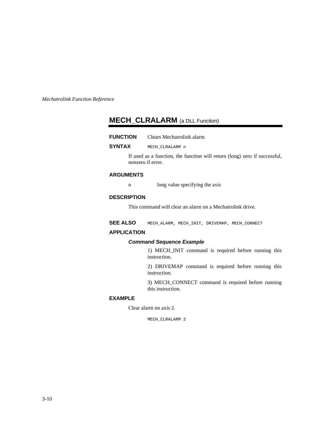## **MECH\_CLRALARM** (a DLL Function)

| <b>FUNCTION</b> | Clears Mechatrolink alarm |
|-----------------|---------------------------|
|-----------------|---------------------------|

**SYNTAX** MECH\_CLRALARM n

If used as a function, the function will return (long) zero if successful, nonzero if error.

#### **ARGUMENTS**

n long value specifying the axis

#### **DESCRIPTION**

This command will clear an alarm on a Mechatrolink drive.

SEE ALSO MECH ALARM, MECH INIT, DRIVEMAP, MECH CONNECT

#### **APPLICATION**

#### **Command Sequence Example**

1) MECH\_INIT command is required before running this instruction.

2) DRIVEMAP command is required before running this instruction.

3) MECH\_CONNECT command is required before running this instruction.

#### **EXAMPLE**

Clear alarm on axis 2.

MECH\_CLRALARM 2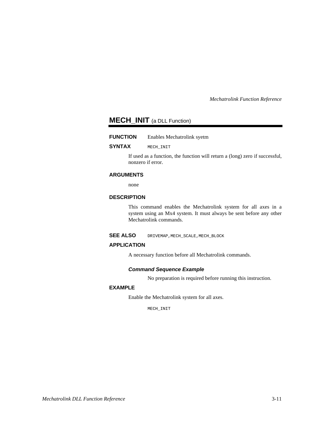### **MECH\_INIT** (a DLL Function)

#### **FUNCTION** Enables Mechatrolink syetm

#### **SYNTAX** MECH\_INIT

If used as a function, the function will return a (long) zero if successful, nonzero if error.

#### **ARGUMENTS**

none

#### **DESCRIPTION**

This command enables the Mechatrolink system for all axes in a system using an Mx4 system. It must always be sent before any other Mechatrolink commands.

**SEE ALSO** DRIVEMAP, MECH SCALE, MECH\_BLOCK

#### **APPLICATION**

A necessary function before all Mechatrolink commands.

#### **Command Sequence Example**

No preparation is required before running this instruction.

#### **EXAMPLE**

Enable the Mechatrolink system for all axes.

MECH\_INIT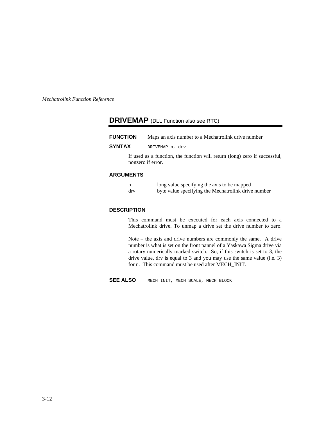## **DRIVEMAP** (DLL Function also see RTC)

| <b>FUNCTION</b> | Maps an axis number to a Mechatrolink drive number |
|-----------------|----------------------------------------------------|
| <b>SYNTAX</b>   | DRIVEMAP n, drv                                    |

If used as a function, the function will return (long) zero if successful, nonzero if error.

#### **ARGUMENTS**

|     | long value specifying the axis to be mapped         |
|-----|-----------------------------------------------------|
| drv | byte value specifying the Mechatrolink drive number |

#### **DESCRIPTION**

This command must be executed for each axis connected to a Mechatrolink drive. To unmap a drive set the drive number to zero.

Note – the axis and drive numbers are commonly the same. A drive number is what is set on the front pannel of a Yaskawa Sigma drive via a rotary numerically marked switch. So, if this switch is set to 3, the drive value, drv is equal to 3 and you may use the same value (i.e. 3) for n. This command must be used after MECH\_INIT.

**SEE ALSO** MECH\_INIT, MECH\_SCALE, MECH\_BLOCK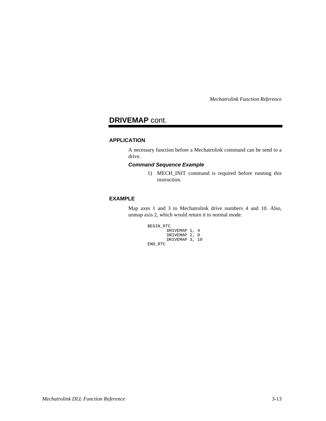## **DRIVEMAP** cont.

#### **APPLICATION**

A necessary function before a Mechatrolink command can be send to a drive.

#### **Command Sequence Example**

1) MECH\_INIT command is required before running this instruction.

#### **EXAMPLE**

Map axes 1 and 3 to Mechatrolink drive numbers 4 and 10. Also, unmap axis 2, which would return it to normal mode.

```
BEGIN_RTC
        DRIVEMAP 1, 4
        DRIVEMAP 2, 0
        DRIVEMAP 3, 10
END_RTC
```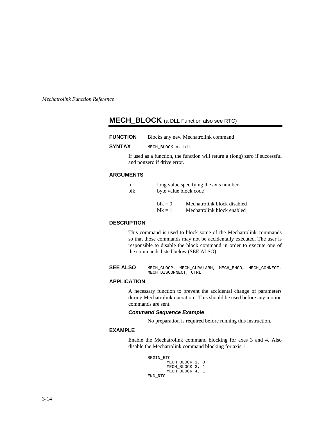## **MECH\_BLOCK** (a DLL Function also see RTC)

| <b>FUNCTION</b> | Blocks any new Mechatrolink command |
|-----------------|-------------------------------------|
| <b>SYNTAX</b>   | MECH BLOCK n, blk                   |

If used as a function, the function will return a (long) zero if successful and nonzero if drive error.

#### **ARGUMENTS**

| n   |               | long value specifying the axis number |  |
|-----|---------------|---------------------------------------|--|
| blk |               | byte value block code                 |  |
|     |               |                                       |  |
|     | $h$ l $k = 0$ | Mechatrolink block disabled           |  |
|     | $h$ l $k = 1$ | Mechatrolink block enabled            |  |

#### **DESCRIPTION**

This command is used to block some of the Mechatrolink commands so that those commands may not be accidentally executed. The user is responsible to disable the block command in order to execute one of the commands listed below (SEE ALSO).

**SEE ALSO** MECH\_CLOOP, MECH\_CLRALARM, MECH\_ENCO, MECH\_CONNECT, MECH\_DISCONNECT, CTRL

#### **APPLICATION**

A necessary function to prevent the accidental change of parameters during Mechatrolink operation. This should be used before any motion commands are sent.

#### **Command Sequence Example**

No preparation is required before running this instruction.

#### **EXAMPLE**

Enable the Mechatrolink command blocking for axes 3 and 4. Also disable the Mechatrolink command blocking for axis 1.

```
BEGIN_RTC
       MECH_BLOCK 1, 0
       MECH_BLOCK 3, 1
       MECH_BLOCK 4, 1
END_RTC
```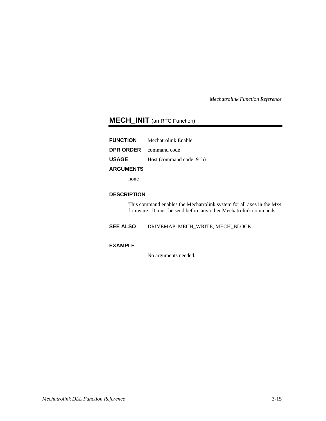## **MECH\_INIT** (an RTC Function)

| <b>FUNCTION</b>               | Mechatrolink Enable      |
|-------------------------------|--------------------------|
| <b>DPR ORDER</b> command code |                          |
| <b>USAGE</b>                  | Host (command code: 91h) |
| <b>ARGUMENTS</b>              |                          |

none

#### **DESCRIPTION**

This command enables the Mechatrolink system for all axes in the Mx4 firmware. It must be send before any other Mechatrolink commands.

**SEE ALSO** DRIVEMAP, MECH\_WRITE, MECH\_BLOCK

#### **EXAMPLE**

No arguments needed.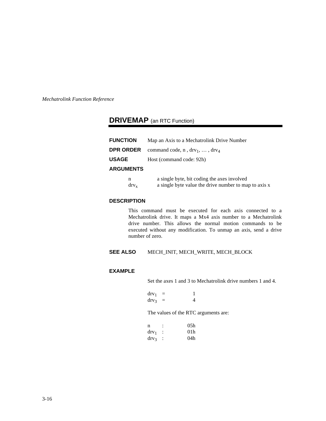## <span id="page-24-0"></span>**DRIVEMAP** (an RTC Function)

| <b>FUNCTION</b>  | Map an Axis to a Mechatrolink Drive Number                |
|------------------|-----------------------------------------------------------|
| DPR ORDER        | command code, $n$ , drv <sub>1</sub> , , drv <sub>4</sub> |
| USAGE            | Host (command code: 92h)                                  |
| <b>ARGUMENTS</b> |                                                           |
| n                | a single byte, bit coding the axes involved               |

#### $\text{div}_x$  a single byte value the drive number to map to axis x

#### **DESCRIPTION**

This command must be executed for each axis connected to a Mechatrolink drive. It maps a Mx4 axis number to a Mechatrolink drive number. This allows the normal motion commands to be executed without any modification. To unmap an axis, send a drive number of zero.

#### **SEE ALSO** MECH\_INIT, MECH\_WRITE, MECH\_BLOCK

#### **EXAMPLE**

Set the axes 1 and 3 to Mechatrolink drive numbers 1 and 4.

| $\rm{d}rv_1$ |   |   |
|--------------|---|---|
| $\rm{d}rv_3$ | - | Δ |

The values of the RTC arguments are:

| n              | 05h             |
|----------------|-----------------|
| $\rm{d}rv_1$   | 01 <sub>h</sub> |
| $\frac{dr}{v}$ | 04h             |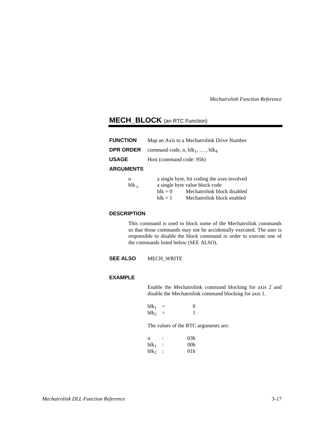## <span id="page-25-0"></span>**MECH\_BLOCK** (an RTC Function)

| <b>FUNCTION</b>  | Map an Axis to a Mechatrolink Drive Number  |  |
|------------------|---------------------------------------------|--|
| DPR ORDER        | command code, n, $blk_1, \ldots, blk_4$     |  |
| USAGE            | Host (command code: 95h)                    |  |
| <b>ARGUMENTS</b> |                                             |  |
| n                | a single byte, bit coding the axes involved |  |

|           |               | $\alpha$ single $\beta$ yte, on countg the axes involved |
|-----------|---------------|----------------------------------------------------------|
| $blk_{x}$ |               | a single byte value block code                           |
|           | $h$ l $k = 0$ | Mechatrolink block disabled                              |
|           | $hlk = 1$     | Mechatrolink block enabled                               |

#### **DESCRIPTION**

This command is used to block some of the Mechatrolink commands so that those commands may not be accidentally executed. The user is responsible to disable the block command in order to execute one of the commands listed below (SEE ALSO).

**SEE ALSO** MECH\_WRITE

#### **EXAMPLE**

Enable the Mechatrolink command blocking for axis 2 and disable the Mechatrolink command blocking for axis 1.

| blk <sub>1</sub> | 0 |
|------------------|---|
| blk <sub>2</sub> |   |

The values of the RTC arguments are:

| n                |                      | 03h |
|------------------|----------------------|-----|
| blk <sub>1</sub> | ÷                    | 00h |
| blk2             | $\ddot{\phantom{1}}$ | 01h |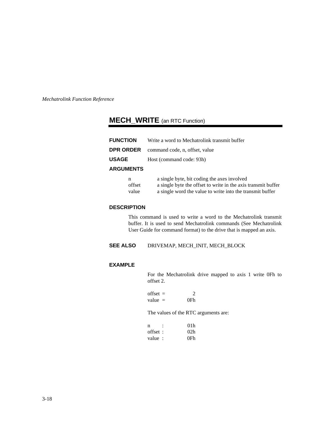## **MECH\_WRITE** (an RTC Function)

| <b>FUNCTION</b>  | Write a word to Mechatrolink transmit buffer |
|------------------|----------------------------------------------|
| DPR ORDER I      | command code, n, offset, value               |
| USAGE            | Host (command code: 93h)                     |
| <b>ARGUMENTS</b> |                                              |
| n                | a single byte, bit coding the axes involved  |

| __     |                                                               |
|--------|---------------------------------------------------------------|
| offset | a single byte the offset to write in the axis transmit buffer |
| value  | a single word the value to write into the transmit buffer     |

#### **DESCRIPTION**

This command is used to write a word to the Mechatrolink transmit buffer. It is used to send Mechatrolink commands (See Mechatrolink User Guide for command format) to the drive that is mapped an axis.

**SEE ALSO** DRIVEMAP, MECH\_INIT, MECH\_BLOCK

#### **EXAMPLE**

For the Mechatrolink drive mapped to axis 1 write 0Fh to offset 2.

| $offset =$ |     |
|------------|-----|
| value $=$  | 0Fh |

The values of the RTC arguments are:

| n       | 01 <sub>h</sub> |
|---------|-----------------|
| offset: | 02 <sub>h</sub> |
| value:  | 0Fh             |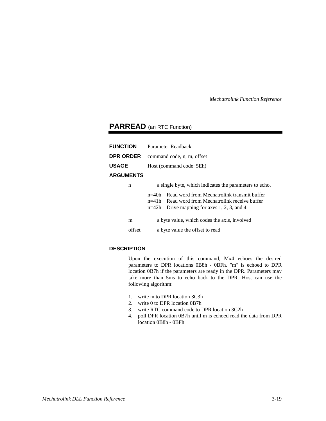## **PARREAD** (an RTC Function)

| <b>FUNCTION</b>  | Parameter Readback         |                                                                                                                                                 |  |
|------------------|----------------------------|-------------------------------------------------------------------------------------------------------------------------------------------------|--|
| <b>DPR ORDER</b> | command code, n, m, offset |                                                                                                                                                 |  |
| <b>USAGE</b>     | Host (command code: 5Eh)   |                                                                                                                                                 |  |
| <b>ARGUMENTS</b> |                            |                                                                                                                                                 |  |
| n                |                            | a single byte, which indicates the parameters to echo.                                                                                          |  |
|                  | $n=40h$<br>$n=42h$         | Read word from Mechatrolink transmit buffer<br>$n=41h$ Read word from Mechatrolink receive buffer<br>Drive mapping for axes $1, 2, 3$ , and $4$ |  |
| m                |                            | a byte value, which codes the axis, involved                                                                                                    |  |
| offset           |                            | a byte value the offset to read                                                                                                                 |  |
|                  |                            |                                                                                                                                                 |  |

#### **DESCRIPTION**

Upon the execution of this command, Mx4 echoes the desired parameters to DPR locations 0B8h - 0BFh. "m" is echoed to DPR location 0B7h if the parameters are ready in the DPR. Parameters may take more than 5ms to echo back to the DPR. Host can use the following algorithm:

- 1. write m to DPR location 3C3h
- 2. write 0 to DPR location 0B7h
- 3. write RTC command code to DPR location 3C2h
- 4. poll DPR location 0B7h until m is echoed read the data from DPR location 0B8h - 0BFh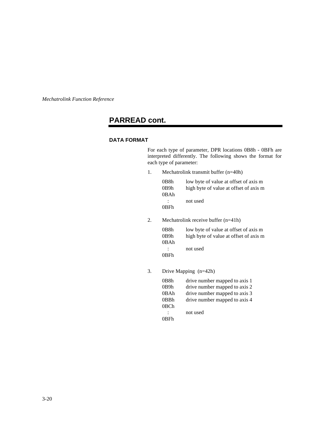## **PARREAD cont.**

#### **DATA FORMAT**

For each type of parameter, DPR locations 0B8h - 0BFh are interpreted differently. The following shows the format for each type of parameter:

1. Mechatrolink transmit buffer (n=40h)

| 0B8h              | low byte of value at offset of axis m  |
|-------------------|----------------------------------------|
| 0B9h              | high byte of value at offset of axis m |
| 0 <sub>B</sub> Ah |                                        |
| $\mathbb{R}^n$    | not used                               |
| 0BFh              |                                        |

2. Mechatrolink receive buffer (n=41h)

| 0B8h            | low byte of value at offset of axis m  |
|-----------------|----------------------------------------|
| 0B9h            | high byte of value at offset of axis m |
| 0BAh            |                                        |
| <b>Property</b> | not used                               |
| 0BFh            |                                        |

3. Drive Mapping (n=42h)

| 0B8h | drive number mapped to axis 1 |
|------|-------------------------------|
| 0B9h | drive number mapped to axis 2 |
| 0BAh | drive number mapped to axis 3 |
| 0BBh | drive number mapped to axis 4 |
| 0BCh |                               |
|      | not used                      |
| 0RFh |                               |